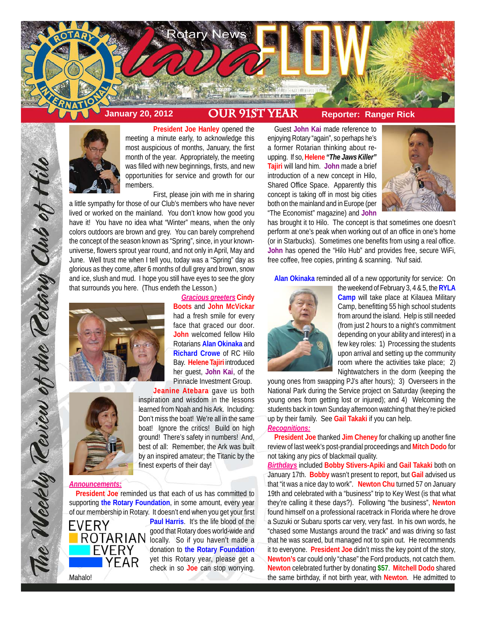



**President Joe Hanley** opened the meeting a minute early, to acknowledge this most auspicious of months, January, the first month of the year. Appropriately, the meeting was filled with new beginnings, firsts, and new opportunities for service and growth for our members.

First, please join with me in sharing a little sympathy for those of our Club's members who have never lived or worked on the mainland. You don't know how good you have it! You have no idea what "Winter" means, when the only colors outdoors are brown and grey. You can barely comprehend the concept of the season known as "Spring", since, in your knownuniverse, flowers sprout year round, and not only in April, May and June. Well trust me when I tell you, today was a "Spring" day as glorious as they come, after 6 months of dull grey and brown, snow and ice, slush and mud. I hope you still have eyes to see the glory that surrounds you here. (Thus endeth the Lesson.)



*Gracious greeters* **Cindy Boots** and **John McVickar** had a fresh smile for every face that graced our door. **John** welcomed fellow Hilo Rotarians **Alan Okinaka** and **Richard Crowe** of RC Hilo Bay. **Helene Tajiri** introduced her guest, **John Kai**, of the Pinnacle Investment Group.



The Weekly Teview of the Tetary Club of Hile

**Jeanine Atebara** gave us both inspiration and wisdom in the lessons learned from Noah and his Ark. Including: Don't miss the boat! We're all in the same boat! Ignore the critics! Build on high ground! There's safety in numbers! And, best of all: Remember, the Ark was built by an inspired amateur; the Titanic by the finest experts of their day!

# *Announcements:*

**President Joe** reminded us that each of us has committed to supporting **the Rotary Foundation**, in some amount, every year of our membership in Rotary. It doesn't end when you get your first



**Paul Harris**. It's the life blood of the good that Rotary does world-wide and locally. So if you haven't made a donation to **the Rotary Foundation** yet this Rotary year, please get a check in so **Joe** can stop worrying.

Guest **John Kai** made reference to enjoying Rotary "again", so perhaps he's a former Rotarian thinking about reupping. If so, **Helene** *"The Jaws Killer"* **Tajiri** will land him. **John** made a brief introduction of a new concept in Hilo, Shared Office Space. Apparently this concept is taking off in most big cities both on the mainland and in Europe (per "The Economist" magazine) and **John**



has brought it to Hilo. The concept is that sometimes one doesn't perform at one's peak when working out of an office in one's home (or in Starbucks). Sometimes one benefits from using a real office. **John** has opened the "Hilo Hub" and provides free, secure WiFi, free coffee, free copies, printing & scanning. 'Nuf said.

**Alan Okinaka** reminded all of a new opportunity for service: On



the weekend of February 3, 4 & 5, the **RYLA Camp** will take place at Kilauea Military Camp, benefitting 55 high school students from around the island. Help is still needed (from just 2 hours to a night's commitment depending on your ability and interest) in a few key roles: 1) Processing the students upon arrival and setting up the community room where the activities take place; 2) Nightwatchers in the dorm (keeping the

young ones from swapping PJ's after hours); 3) Overseers in the National Park during the Service project on Saturday (keeping the young ones from getting lost or injured); and 4) Welcoming the students back in town Sunday afternoon watching that they're picked up by their family. See **Gail Takaki** if you can help. *Recognitions:*

**President Joe** thanked **Jim Cheney** for chalking up another fine review of last week's post-prandial proceedings and **Mitch Dodo** for not taking any pics of blackmail quality.

*Birthdays* included **Bobby Stivers-Apiki** and **Gail Takaki** both on January 17th. **Bobby** wasn't present to report, but **Gail** advised us that "it was a nice day to work". **Newton Chu** turned 57 on January 19th and celebrated with a "business" trip to Key West (is that what they're calling it these days?). Following "the business", **Newton** found himself on a professional racetrack in Florida where he drove a Suzuki or Subaru sports car very, very fast. In his own words, he "chased some Mustangs around the track" and was driving so fast that he was scared, but managed not to spin out. He recommends it to everyone. **President Joe** didn't miss the key point of the story, **Newton's** car could only "chase" the Ford products, not catch them. **Newton** celebrated further by donating **\$57**. **Mitchell Dodo** shared the same birthday, if not birth year, with **Newton**. He admitted to

Mahalo!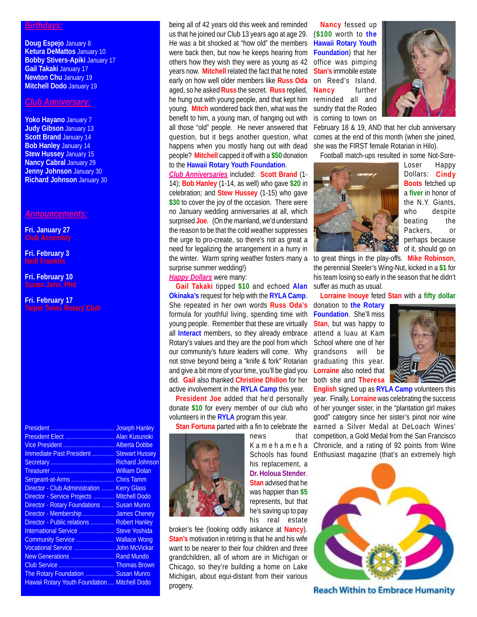### *Birthdays:*

**Doug Espejo** January 8 **Ketura DeMattos** January 10 **Bobby Stivers-Apiki** January 17 **Gail Takaki** January 17 **Newton Chu** January 19 **Mitchell Dodo** January 19

## *Club Anniversary:*

**Yoko Hayano** January 7 **Judy Gibson** January 13 **Scott Brand January 14 Bob Hanley** January 14 **Stew Hussey** January 15 **Nancy Cabral** January 29 **Jenny Johnson** January 30 **Richard Johnson** January 30

## *Announcements:*

**Fri. January 27 Club Assembly**

**Fri. February 3 Neill Franklin**

**Fri. February 10**

**Fri. February 17**

|                                                    | <b>Joseph Hanley</b> |
|----------------------------------------------------|----------------------|
| President Elect  Alan Kusunoki                     |                      |
| Vice President  Alberta Dobbe                      |                      |
| Immediate Past President  Stewart Hussey           |                      |
|                                                    |                      |
|                                                    |                      |
| Sergeant-at-Arms  Chris Tamm                       |                      |
| <b>Director - Club Administration  Kerry Glass</b> |                      |
| Director - Service Projects  Mitchell Dodo         |                      |
| <b>Director - Rotary Foundations  Susan Munro</b>  |                      |
| Director - Membership  James Cheney                |                      |
| Director - Public relations  Robert Hanley         |                      |
| International Service  Steve Yoshida               |                      |
| Community Service  Wallace Wong                    |                      |
| Vocational Service  John McVickar                  |                      |
| New Generations  Rand Mundo                        |                      |
|                                                    |                      |
| The Rotary Foundation  Susan Munro                 |                      |
| Hawaii Rotary Youth Foundation  Mitchell Dodo      |                      |

being all of 42 years old this week and reminded us that he joined our Club 13 years ago at age 29. He was a bit shocked at "how old" the members were back then, but now he keeps hearing from others how they wish they were as young as 42 years now. **Mitchell** related the fact that he noted early on how well older members like **Russ Oda** aged, so he asked **Russ** the secret. **Russ** replied, he hung out with young people, and that kept him reminded all and young. **Mitch** wondered back then, what was the benefit to him, a young man, of hanging out with all those "old" people. He never answered that question, but it begs another question, what happens when you mostly hang out with dead people? **Mitchell** capped it off with a **\$50** donation to the **Hawaii Rotary Youth Foundation**.

*Club Anniversaries* included: **Scott Brand** (1-

14); **Bob Hanley** (1-14, as well) who gave **\$20** in celebration; and **Stew Hussey** (1-15) who gave \$30 to cover the joy of the occasion. There were no January wedding anniversaries at all, which surprised **Joe**. (On the mainland, we'd understand the reason to be that the cold weather suppresses the urge to pro-create, so there's not as great a need for legalizing the arrangement in a hurry in the winter. Warm spring weather fosters many a to great things in the play-offs. **Mike Robinson**, surprise summer wedding!)

### *Happy Dollars* were many:

**Gail Takaki** tipped **\$10** and echoed **Alan Okinaka's** request for help with the **RYLA Camp**. She repeated in her own words **Russ Oda's** formula for youthful living, spending time with young people. Remember that these are virtually all **Interact** members, so they already embrace Rotary's values and they are the pool from which our community's future leaders will come. Why not strive beyond being a "knife & fork" Rotarian and give a bit more of your time, you'll be glad you did. **Gail** also thanked **Christine Dhillon** for her active involvement in the **RYLA Camp** this year.

**President Joe** added that he'd personally donate **\$10** for every member of our club who volunteers in the **RYLA** program this year.

**Stan Fortuna** parted with a fin to celebrate the



news that his replacement, a **Dr. Holoua Stender**. **Stan** advised that he was happier than **\$5** represents, but that he's saving up to pay his real estate

broker's fee (looking oddly askance at **Nancy**). **Stan's** motivation in retiring is that he and his wife want to be nearer to their four children and three grandchildren, all of whom are in Michigan or Chicago, so they're building a home on Lake Michigan, about equi-distant from their various progeny.

**Nancy** fessed up (**\$100** worth to **the Hawaii Rotary Youth Foundation**) that her office was pimping **Stan's** immobile estate on Reed's Island. **Nancy** further sundry that the Rodeo is coming to town on



February 18 & 19, AND that her club anniversary comes at the end of this month (when she joined, she was the FIRST female Rotarian in Hilo).

Football match-ups resulted in some Not-Sore-



Loser Happy Dollars: **Cindy Boots** fetched up a **fiver** in honor of the N.Y. Giants, who despite beating the Packers, or perhaps because of it, should go on

the perennial Steeler's Wing-Nut, kicked in a **\$1** for his team losing so early in the season that he didn't suffer as much as usual.

**Lorraine Inouye** feted **Stan** with a **fifty dollar**

donation to **the Rotary Foundation**. She'll miss **Stan**, but was happy to attend a luau at Kam School where one of her grandsons will be graduating this year. **Lorraine** also noted that both she and **Theresa**



K a m e h a m e h a Chronicle, and a rating of 92 points from Wine Schools has found Enthusiast magazine (that's an extremely high**English** signed up as **RYLA Camp** volunteers this year. Finally, **Lorraine** was celebrating the success of her younger sister, in the "plantation girl makes good" category since her sister's pinot noir wine earned a Silver Medal at DeLoach Wines' competition, a Gold Medal from the San Francisco



**Reach Within to Embrace Humanity**